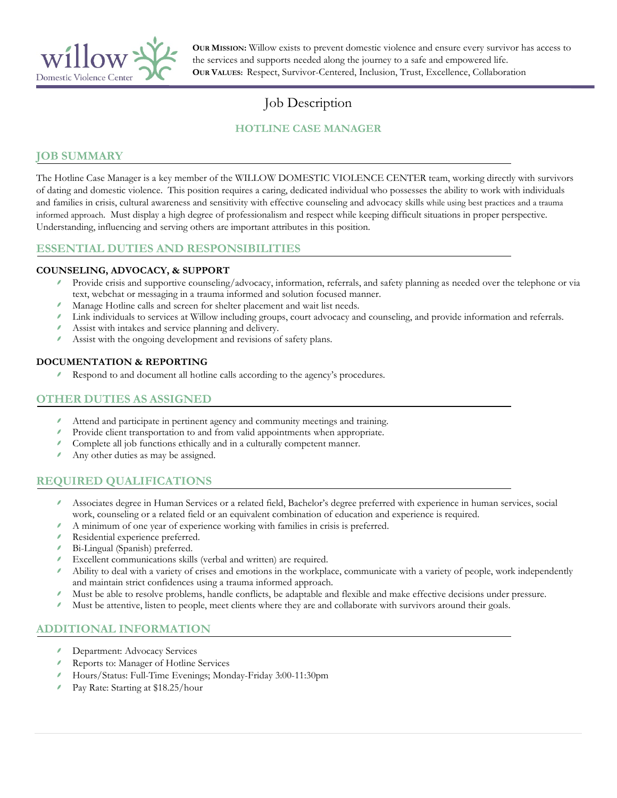

**OUR MISSION:** Willow exists to prevent domestic violence and ensure every survivor has access to the services and supports needed along the journey to a safe and empowered life. **OUR VALUES:** Respect, Survivor-Centered, Inclusion, Trust, Excellence, Collaboration

# Job Description

# **HOTLINE CASE MANAGER**

## **JOB SUMMARY**

The Hotline Case Manager is a key member of the WILLOW DOMESTIC VIOLENCE CENTER team, working directly with survivors of dating and domestic violence. This position requires a caring, dedicated individual who possesses the ability to work with individuals and families in crisis, cultural awareness and sensitivity with effective counseling and advocacy skills while using best practices and a trauma informed approach. Must display a high degree of professionalism and respect while keeping difficult situations in proper perspective. Understanding, influencing and serving others are important attributes in this position.

# **ESSENTIAL DUTIES AND RESPONSIBILITIES**

#### **COUNSELING, ADVOCACY, & SUPPORT**

- Provide crisis and supportive counseling/advocacy, information, referrals, and safety planning as needed over the telephone or via text, webchat or messaging in a trauma informed and solution focused manner.
- Manage Hotline calls and screen for shelter placement and wait list needs.
- Link individuals to services at Willow including groups, court advocacy and counseling, and provide information and referrals.
- Assist with intakes and service planning and delivery.
- Assist with the ongoing development and revisions of safety plans.

#### **DOCUMENTATION & REPORTING**

Respond to and document all hotline calls according to the agency's procedures.

## **OTHER DUTIES AS ASSIGNED**

- Attend and participate in pertinent agency and community meetings and training.
- Provide client transportation to and from valid appointments when appropriate.
- Complete all job functions ethically and in a culturally competent manner.
- Any other duties as may be assigned.

# **REQUIRED QUALIFICATIONS**

- Associates degree in Human Services or a related field, Bachelor's degree preferred with experience in human services, social work, counseling or a related field or an equivalent combination of education and experience is required.
- A minimum of one year of experience working with families in crisis is preferred.
- Residential experience preferred.
- Bi-Lingual (Spanish) preferred.
- Excellent communications skills (verbal and written) are required.
- Ability to deal with a variety of crises and emotions in the workplace, communicate with a variety of people, work independently and maintain strict confidences using a trauma informed approach.
- í Must be able to resolve problems, handle conflicts, be adaptable and flexible and make effective decisions under pressure.
- Must be attentive, listen to people, meet clients where they are and collaborate with survivors around their goals.

# **ADDITIONAL INFORMATION**

- Department: Advocacy Services
- Reports to: Manager of Hotline Services
- Hours/Status: Full-Time Evenings; Monday-Friday 3:00-11:30pm
- Pay Rate: Starting at \$18.25/hour